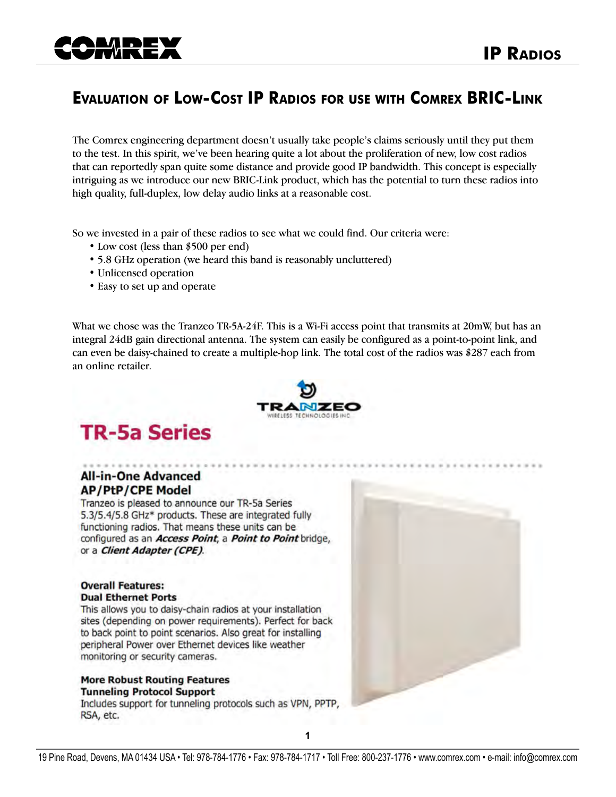## **Evaluation of Low-Cost IP Radios for use with Comrex BRIC-Link**

The Comrex engineering department doesn't usually take people's claims seriously until they put them to the test. In this spirit, we've been hearing quite a lot about the proliferation of new, low cost radios that can reportedly span quite some distance and provide good IP bandwidth. This concept is especially intriguing as we introduce our new BRIC-Link product, which has the potential to turn these radios into high quality, full-duplex, low delay audio links at a reasonable cost.

So we invested in a pair of these radios to see what we could find. Our criteria were:

- Low cost (less than \$500 per end)
- 5.8 GHz operation (we heard this band is reasonably uncluttered)
- Unlicensed operation
- Easy to set up and operate

What we chose was the Tranzeo TR-5A-24F. This is a Wi-Fi access point that transmits at 20mW, but has an integral 24dB gain directional antenna. The system can easily be configured as a point-to-point link, and can even be daisy-chained to create a multiple-hop link. The total cost of the radios was \$287 each from an online retailer.



# **TR-5a Series**

### **All-in-One Advanced AP/PtP/CPE Model**

Tranzeo is pleased to announce our TR-5a Series 5.3/5.4/5.8 GHz\* products. These are integrated fully functioning radios. That means these units can be configured as an **Access Point**, a **Point to Point** bridge, or a Client Adapter (CPE).

#### **Overall Features: Dual Ethernet Ports**

This allows you to daisy-chain radios at your installation sites (depending on power requirements). Perfect for back to back point to point scenarios. Also great for installing peripheral Power over Ethernet devices like weather monitoring or security cameras.

#### **More Robust Routing Features Tunneling Protocol Support**

Includes support for tunneling protocols such as VPN, PPTP, RSA, etc.

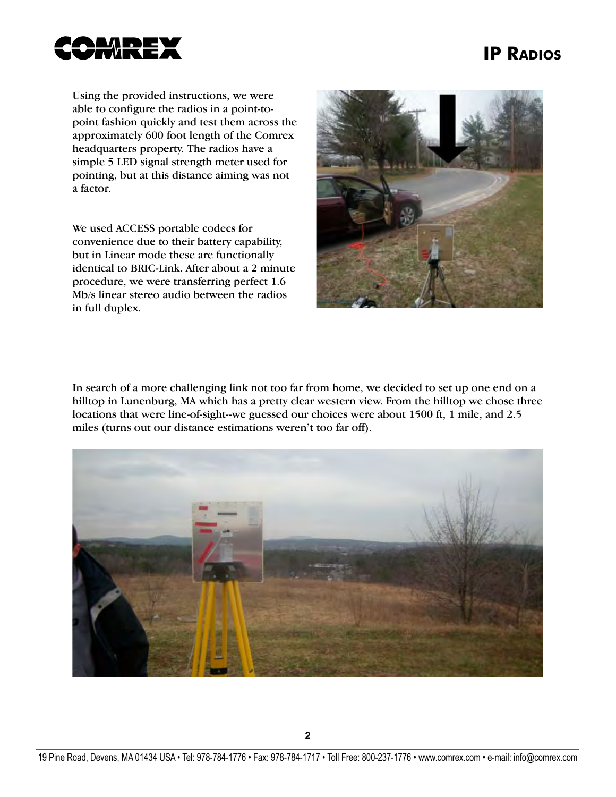

Using the provided instructions, we were able to configure the radios in a point-topoint fashion quickly and test them across the approximately 600 foot length of the Comrex headquarters property. The radios have a simple 5 LED signal strength meter used for pointing, but at this distance aiming was not a factor.

We used ACCESS portable codecs for convenience due to their battery capability, but in Linear mode these are functionally identical to BRIC-Link. After about a 2 minute procedure, we were transferring perfect 1.6 Mb/s linear stereo audio between the radios in full duplex.



In search of a more challenging link not too far from home, we decided to set up one end on a hilltop in Lunenburg, MA which has a pretty clear western view. From the hilltop we chose three locations that were line-of-sight--we guessed our choices were about 1500 ft, 1 mile, and 2.5 miles (turns out our distance estimations weren't too far off).

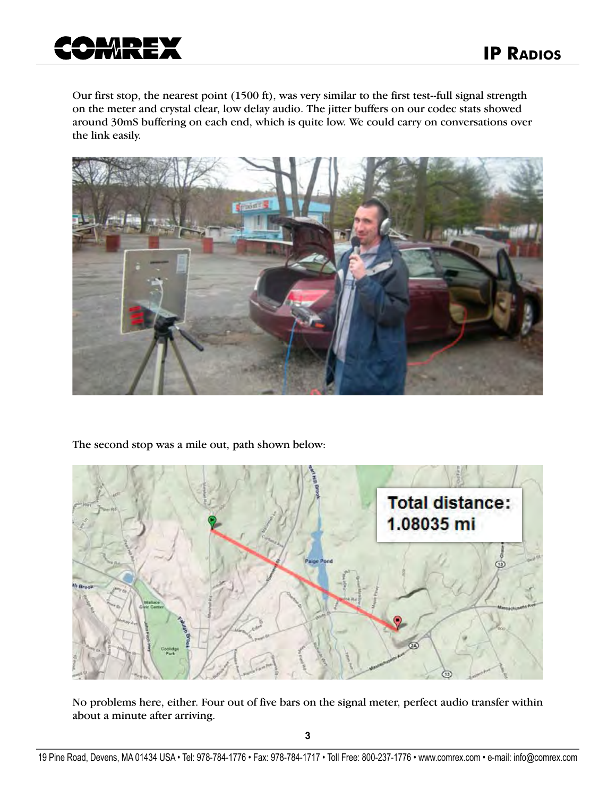

Our first stop, the nearest point (1500 ft), was very similar to the first test--full signal strength on the meter and crystal clear, low delay audio. The jitter buffers on our codec stats showed around 30mS buffering on each end, which is quite low. We could carry on conversations over the link easily.



The second stop was a mile out, path shown below:



No problems here, either. Four out of five bars on the signal meter, perfect audio transfer within about a minute after arriving.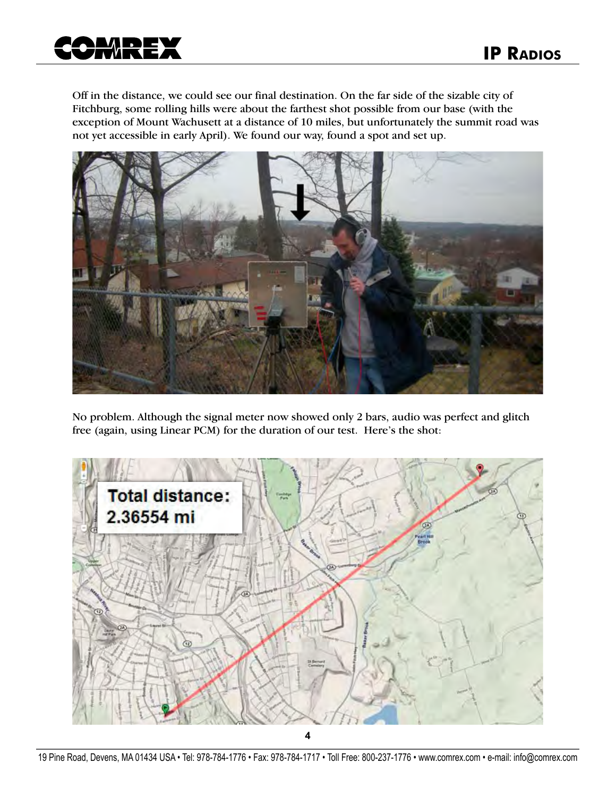

Off in the distance, we could see our final destination. On the far side of the sizable city of Fitchburg, some rolling hills were about the farthest shot possible from our base (with the exception of Mount Wachusett at a distance of 10 miles, but unfortunately the summit road was not yet accessible in early April). We found our way, found a spot and set up.



No problem. Although the signal meter now showed only 2 bars, audio was perfect and glitch free (again, using Linear PCM) for the duration of our test. Here's the shot: